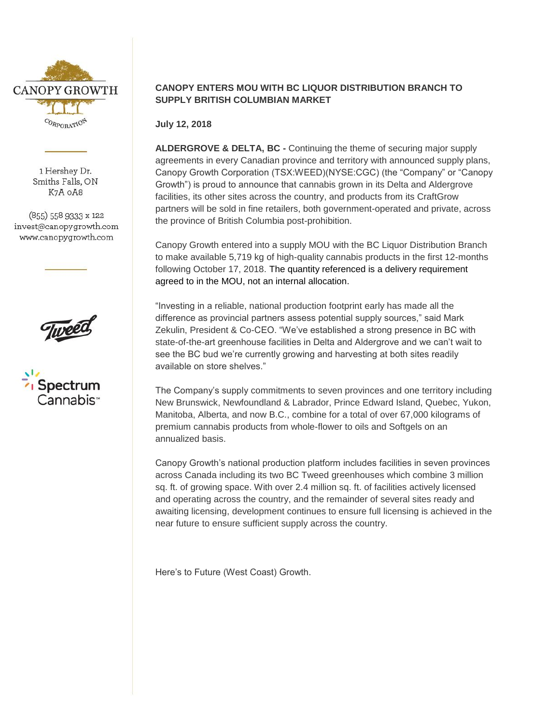

1 Hershey Dr. Smiths Falls, ON K7A OA8

(855) 558 9333 x 122 invest@canopygrowth.com www.canopygrowth.com





## **CANOPY ENTERS MOU WITH BC LIQUOR DISTRIBUTION BRANCH TO SUPPLY BRITISH COLUMBIAN MARKET**

**July 12, 2018**

**ALDERGROVE & DELTA, BC -** Continuing the theme of securing major supply agreements in every Canadian province and territory with announced supply plans, Canopy Growth Corporation (TSX:WEED)(NYSE:CGC) (the "Company" or "Canopy Growth") is proud to announce that cannabis grown in its Delta and Aldergrove facilities, its other sites across the country, and products from its CraftGrow partners will be sold in fine retailers, both government-operated and private, across the province of British Columbia post-prohibition.

Canopy Growth entered into a supply MOU with the BC Liquor Distribution Branch to make available 5,719 kg of high-quality cannabis products in the first 12-months following October 17, 2018. The quantity referenced is a delivery requirement agreed to in the MOU, not an internal allocation.

"Investing in a reliable, national production footprint early has made all the difference as provincial partners assess potential supply sources," said Mark Zekulin, President & Co-CEO. "We've established a strong presence in BC with state-of-the-art greenhouse facilities in Delta and Aldergrove and we can't wait to see the BC bud we're currently growing and harvesting at both sites readily available on store shelves."

The Company's supply commitments to seven provinces and one territory including New Brunswick, Newfoundland & Labrador, Prince Edward Island, Quebec, Yukon, Manitoba, Alberta, and now B.C., combine for a total of over 67,000 kilograms of premium cannabis products from whole-flower to oils and Softgels on an annualized basis.

Canopy Growth's national production platform includes facilities in seven provinces across Canada including its two BC Tweed greenhouses which combine 3 million sq. ft. of growing space. With over 2.4 million sq. ft. of facilities actively licensed and operating across the country, and the remainder of several sites ready and awaiting licensing, development continues to ensure full licensing is achieved in the near future to ensure sufficient supply across the country.

Here's to Future (West Coast) Growth.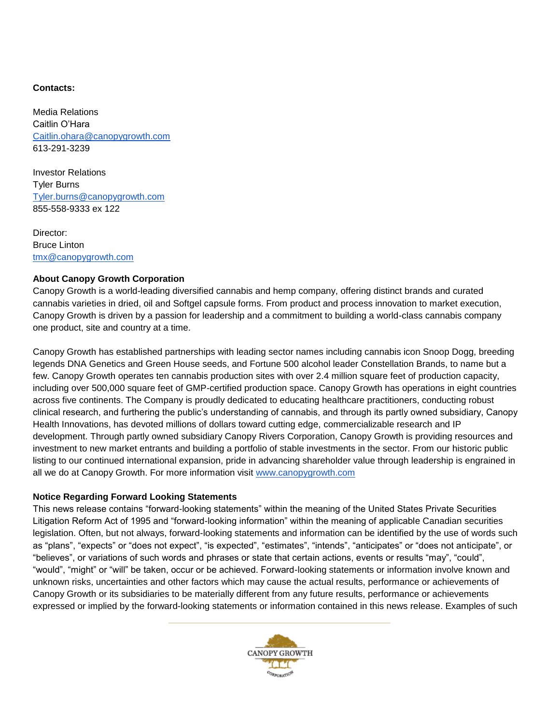## **Contacts:**

Media Relations Caitlin O'Hara [Caitlin.ohara@canopygrowth.com](mailto:Caitlin.ohara@canopygrowth.com) 613-291-3239

Investor Relations Tyler Burns [Tyler.burns@canopygrowth.com](mailto:Tyler.burns@canopygrowth.com) 855-558-9333 ex 122

Director: Bruce Linton [tmx@canopygrowth.com](mailto:tmx@canopygrowth.com)

## **About Canopy Growth Corporation**

Canopy Growth is a world-leading diversified cannabis and hemp company, offering distinct brands and curated cannabis varieties in dried, oil and Softgel capsule forms. From product and process innovation to market execution, Canopy Growth is driven by a passion for leadership and a commitment to building a world-class cannabis company one product, site and country at a time.

Canopy Growth has established partnerships with leading sector names including cannabis icon Snoop Dogg, breeding legends DNA Genetics and Green House seeds, and Fortune 500 alcohol leader Constellation Brands, to name but a few. Canopy Growth operates ten cannabis production sites with over 2.4 million square feet of production capacity, including over 500,000 square feet of GMP-certified production space. Canopy Growth has operations in eight countries across five continents. The Company is proudly dedicated to educating healthcare practitioners, conducting robust clinical research, and furthering the public's understanding of cannabis, and through its partly owned subsidiary, Canopy Health Innovations, has devoted millions of dollars toward cutting edge, commercializable research and IP development. Through partly owned subsidiary Canopy Rivers Corporation, Canopy Growth is providing resources and investment to new market entrants and building a portfolio of stable investments in the sector. From our historic public listing to our continued international expansion, pride in advancing shareholder value through leadership is engrained in all we do at Canopy Growth. For more information visit [www.canopygrowth.com](http://www.canopygrowth.com/)

## **Notice Regarding Forward Looking Statements**

This news release contains "forward-looking statements" within the meaning of the United States Private Securities Litigation Reform Act of 1995 and "forward-looking information" within the meaning of applicable Canadian securities legislation. Often, but not always, forward-looking statements and information can be identified by the use of words such as "plans", "expects" or "does not expect", "is expected", "estimates", "intends", "anticipates" or "does not anticipate", or "believes", or variations of such words and phrases or state that certain actions, events or results "may", "could", "would", "might" or "will" be taken, occur or be achieved. Forward-looking statements or information involve known and unknown risks, uncertainties and other factors which may cause the actual results, performance or achievements of Canopy Growth or its subsidiaries to be materially different from any future results, performance or achievements expressed or implied by the forward-looking statements or information contained in this news release. Examples of such